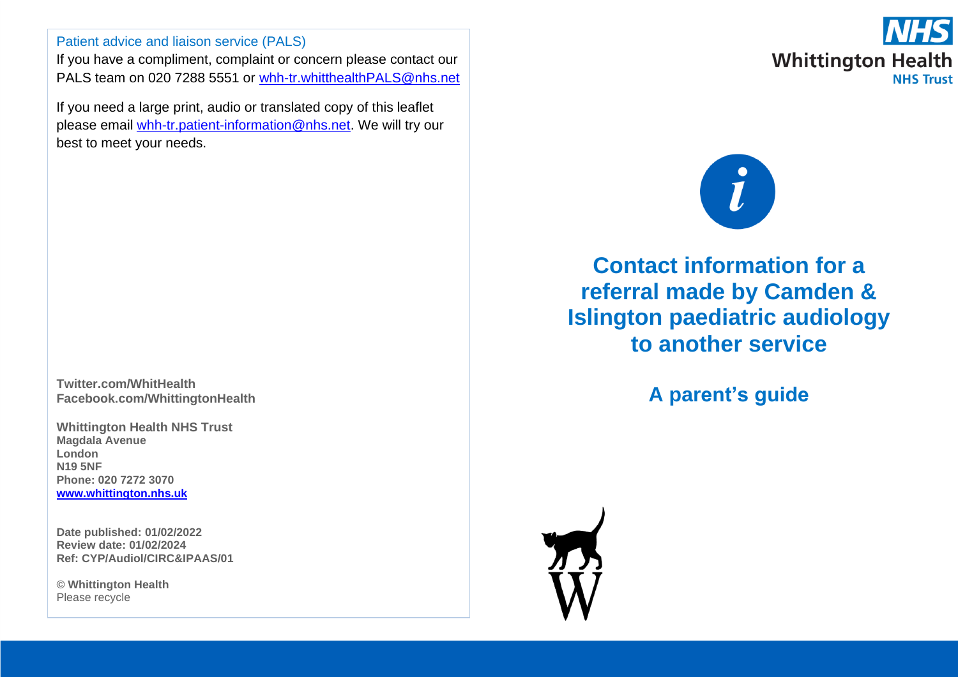# Patient advice and liaison service (PALS)

If you have a compliment, complaint or concern please contact our PALS team on 020 7288 5551 or [whh-tr.whitthealthPALS@nhs.net](mailto:whh-tr.whitthealthPALS@nhs.net)

If you need a large print, audio or translated copy of this leaflet please email [whh-tr.patient-information@nhs.net.](mailto:whh-tr.patient-information@nhs.net) We will try our best to meet your needs.

**Twitter.com/WhitHealth Facebook.com/WhittingtonHealth**

**Whittington Health NHS Trust Magdala Avenue London N19 5NF Phone: 020 7272 3070 [www.whittington.nhs.uk](http://www.whittington.nhs.uk/)**

**Date published: 01/02/2022 Review date: 01/02/2024 Ref: CYP/Audiol/CIRC&IPAAS/01**

**© Whittington Health** Please recycle



**Contact information for a referral made by Camden & Islington paediatric audiology to another service**

**A parent's guide**

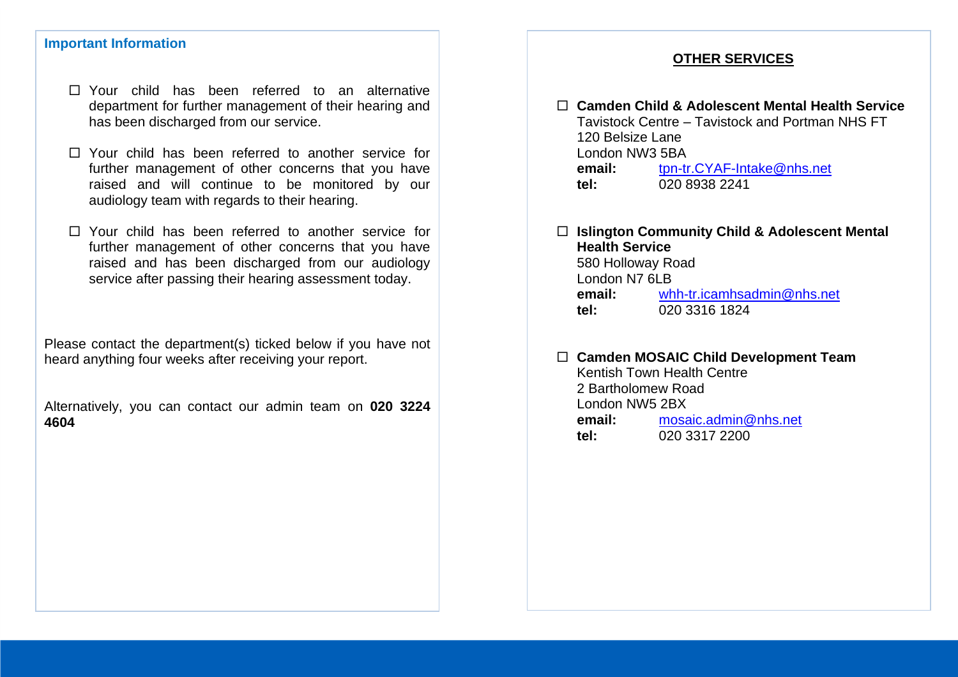#### **Important Information**

- □ Your child has been referred to an alternative department for further management of their hearing and has been discharged from our service.
- Your child has been referred to another service for further management of other concerns that you have raised and will continue to be monitored by our audiology team with regards to their hearing.
- Your child has been referred to another service for further management of other concerns that you have raised and has been discharged from our audiology service after passing their hearing assessment today.

Please contact the department(s) ticked below if you have not heard anything four weeks after receiving your report.

Alternatively, you can contact our admin team on **020 3224 4604**

# **OTHER SERVICES**

 **Camden Child & Adolescent Mental Health Service** Tavistock Centre – Tavistock and Portman NHS FT 120 Belsize Lane London NW3 5BA **email:** [tpn-tr.CYAF-Intake@nhs.net](mailto:tpn-tr.CYAF-Intake@nhs.net) **tel:** 020 8938 2241

#### **Islington Community Child & Adolescent Mental Health Service** 580 Holloway Road London N7 6LB **email:** [whh-tr.icamhsadmin@nhs.net](mailto:whh-tr.icamhsadmin@nhs.net) **tel:** 020 3316 1824

**Camden MOSAIC Child Development Team**

Kentish Town Health Centre 2 Bartholomew Road London NW5 2BX **email:** [mosaic.admin@nhs.net](mailto:mosaic.admin@nhs.net) **tel:** 020 3317 2200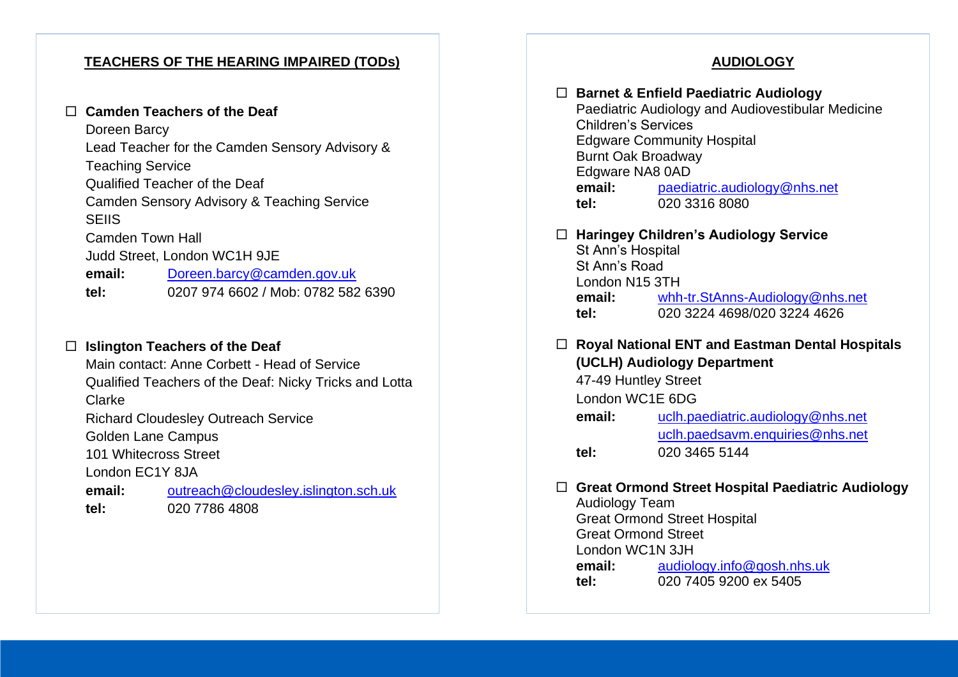# **TEACHERS OF THE HEARING IMPAIRED (TODs)**

#### **Camden Teachers of the Deaf**

Doreen Barcy Lead Teacher for the Camden Sensory Advisory & Teaching Service Qualified Teacher of the Deaf Camden Sensory Advisory & Teaching Service **SEIIS** Camden Town Hall Judd Street, London WC1H 9JE **email:** [Doreen.barcy@camden.gov.uk](mailto:Doreen.barcy@camden.gov.uk) **tel:** 0207 974 6602 / Mob: 0782 582 6390

# **Islington Teachers of the Deaf**

Main contact: Anne Corbett - Head of Service Qualified Teachers of the Deaf: Nicky Tricks and Lotta Clarke Richard Cloudesley Outreach Service Golden Lane Campus 101 Whitecross Street London EC1Y 8JA **email:** [outreach@cloudesley.islington.sch.uk](mailto:outreach@cloudesley.islington.sch.uk) **tel:** 020 7786 4808

# **AUDIOLOGY**

|        | <b>Children's Services</b><br><b>Burnt Oak Broadway</b><br>Edgware NA8 0AD<br>email:<br>tel: | □ Barnet & Enfield Paediatric Audiology<br>Paediatric Audiology and Audiovestibular Medicine<br><b>Edgware Community Hospital</b><br>paediatric.audiology@nhs.net<br>020 3316 8080 |  |
|--------|----------------------------------------------------------------------------------------------|------------------------------------------------------------------------------------------------------------------------------------------------------------------------------------|--|
| ш      | St Ann's Hospital                                                                            | <b>Haringey Children's Audiology Service</b>                                                                                                                                       |  |
|        | St Ann's Road                                                                                |                                                                                                                                                                                    |  |
|        | London N15 3TH                                                                               |                                                                                                                                                                                    |  |
|        |                                                                                              | email: whh-tr.StAnns-Audiology@nhs.net                                                                                                                                             |  |
|        | tel:                                                                                         | 020 3224 4698/020 3224 4626                                                                                                                                                        |  |
| $\Box$ |                                                                                              | <b>Royal National ENT and Eastman Dental Hospitals</b><br>(UCLH) Audiology Department<br>47-49 Huntley Street<br>London WC1E 6DG                                                   |  |
|        |                                                                                              |                                                                                                                                                                                    |  |
|        |                                                                                              |                                                                                                                                                                                    |  |
|        |                                                                                              |                                                                                                                                                                                    |  |
|        | email:                                                                                       | uclh.paediatric.audiology@nhs.net                                                                                                                                                  |  |
|        |                                                                                              | uclh.paedsavm.enquiries@nhs.net                                                                                                                                                    |  |
|        | tel:                                                                                         | 020 3465 5144                                                                                                                                                                      |  |
|        |                                                                                              |                                                                                                                                                                                    |  |

# **Great Ormond Street Hospital Paediatric Audiology**

Audiology Team Great Ormond Street Hospital Great Ormond Street London WC1N 3JH **email:** [audiology.info@gosh.nhs.uk](mailto:audiology.info@gosh.nhs.uk) **tel:** 020 7405 9200 ex 5405